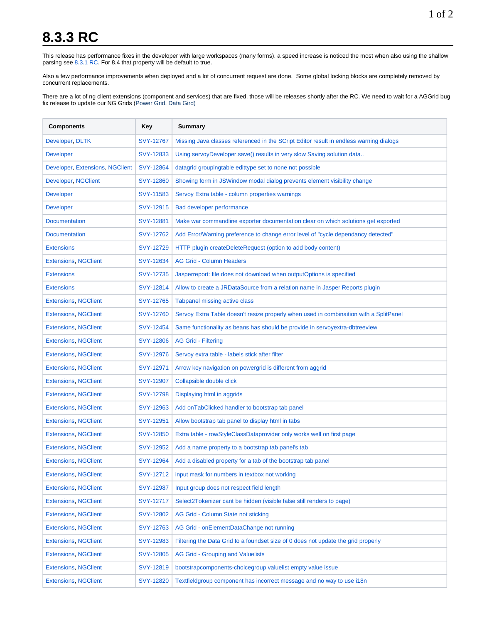## **8.3.3 RC**

This release has performance fixes in the developer with large workspaces (many forms). a speed increase is noticed the most when also using the shallow parsing see [8.3.1 RC](https://wiki.servoy.com/display/DOCS/8.3.1+RC). For 8.4 that property will be default to true.

Also a few performance improvements when deployed and a lot of concurrent request are done. Some global locking blocks are completely removed by concurrent replacements.

There are a lot of ng client extensions (component and services) that are fixed, those will be releases shortly after the RC. We need to wait for a AGGrid bug fix release to update our NG Grids (Power Grid, Data Gird)

| <b>Components</b>               | Key              | Summary                                                                                |
|---------------------------------|------------------|----------------------------------------------------------------------------------------|
| Developer, DLTK                 | <b>SVY-12767</b> | Missing Java classes referenced in the SCript Editor result in endless warning dialogs |
| <b>Developer</b>                | SVY-12833        | Using servoyDeveloper.save() results in very slow Saving solution data                 |
| Developer, Extensions, NGClient | SVY-12864        | datagrid groupingtable edittype set to none not possible                               |
| Developer, NGClient             | SVY-12860        | Showing form in JSWindow modal dialog prevents element visibility change               |
| <b>Developer</b>                | SVY-11583        | Servoy Extra table - column properties warnings                                        |
| <b>Developer</b>                | SVY-12915        | Bad developer performance                                                              |
| <b>Documentation</b>            | <b>SVY-12881</b> | Make war commandline exporter documentation clear on which solutions get exported      |
| <b>Documentation</b>            | SVY-12762        | Add Error/Warning preference to change error level of "cycle dependancy detected"      |
| <b>Extensions</b>               | SVY-12729        | HTTP plugin createDeleteRequest (option to add body content)                           |
| <b>Extensions, NGClient</b>     | SVY-12634        | <b>AG Grid - Column Headers</b>                                                        |
| <b>Extensions</b>               | SVY-12735        | Jasperreport: file does not download when outputOptions is specified                   |
| <b>Extensions</b>               | SVY-12814        | Allow to create a JRDataSource from a relation name in Jasper Reports plugin           |
| <b>Extensions, NGClient</b>     | SVY-12765        | Tabpanel missing active class                                                          |
| <b>Extensions, NGClient</b>     | <b>SVY-12760</b> | Servoy Extra Table doesn't resize properly when used in combinaition with a SplitPanel |
| <b>Extensions, NGClient</b>     | SVY-12454        | Same functionality as beans has should be provide in servoyextra-dbtreeview            |
| <b>Extensions, NGClient</b>     | <b>SVY-12806</b> | <b>AG Grid - Filtering</b>                                                             |
| <b>Extensions, NGClient</b>     | SVY-12976        | Servoy extra table - labels stick after filter                                         |
| <b>Extensions, NGClient</b>     | SVY-12971        | Arrow key navigation on powergrid is different from aggrid                             |
| <b>Extensions, NGClient</b>     | SVY-12907        | Collapsible double click                                                               |
| <b>Extensions, NGClient</b>     | <b>SVY-12798</b> | Displaying html in aggrids                                                             |
| <b>Extensions, NGClient</b>     | SVY-12963        | Add on TabClicked handler to bootstrap tab panel                                       |
| <b>Extensions, NGClient</b>     | <b>SVY-12951</b> | Allow bootstrap tab panel to display html in tabs                                      |
| <b>Extensions, NGClient</b>     | SVY-12850        | Extra table - rowStyleClassDataprovider only works well on first page                  |
| <b>Extensions, NGClient</b>     | SVY-12952        | Add a name property to a bootstrap tab panel's tab                                     |
| <b>Extensions, NGClient</b>     | <b>SVY-12964</b> | Add a disabled property for a tab of the bootstrap tab panel                           |
| <b>Extensions, NGClient</b>     | SVY-12712        | input mask for numbers in textbox not working                                          |
| <b>Extensions, NGClient</b>     | <b>SVY-12987</b> | Input group does not respect field length                                              |
| <b>Extensions, NGClient</b>     | SVY-12717        | Select2Tokenizer cant be hidden (visible false still renders to page)                  |
| <b>Extensions, NGClient</b>     | SVY-12802        | AG Grid - Column State not sticking                                                    |
| <b>Extensions, NGClient</b>     | SVY-12763        | AG Grid - onElementDataChange not running                                              |
| <b>Extensions, NGClient</b>     | <b>SVY-12983</b> | Filtering the Data Grid to a foundset size of 0 does not update the grid properly      |
| <b>Extensions, NGClient</b>     | <b>SVY-12805</b> | AG Grid - Grouping and Valuelists                                                      |
| <b>Extensions, NGClient</b>     | SVY-12819        | bootstrapcomponents-choicegroup valuelist empty value issue                            |
| <b>Extensions, NGClient</b>     | <b>SVY-12820</b> | Textfieldgroup component has incorrect message and no way to use i18n                  |